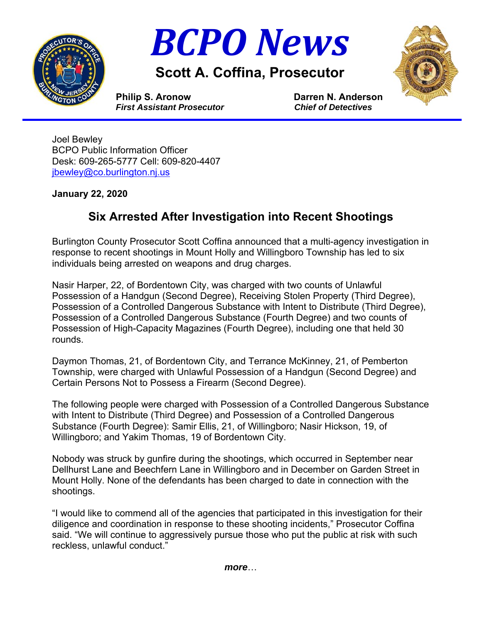



**Scott A. Coffina, Prosecutor** 



**Philip S. Aronow Darren N. Anderson**  *First Assistant Prosecutor**Chief of Detectives*

Joel Bewley BCPO Public Information Officer Desk: 609-265-5777 Cell: 609-820-4407 jbewley@co.burlington.nj.us

## **January 22, 2020**

## **Six Arrested After Investigation into Recent Shootings**

Burlington County Prosecutor Scott Coffina announced that a multi-agency investigation in response to recent shootings in Mount Holly and Willingboro Township has led to six individuals being arrested on weapons and drug charges.

Nasir Harper, 22, of Bordentown City, was charged with two counts of Unlawful Possession of a Handgun (Second Degree), Receiving Stolen Property (Third Degree), Possession of a Controlled Dangerous Substance with Intent to Distribute (Third Degree), Possession of a Controlled Dangerous Substance (Fourth Degree) and two counts of Possession of High-Capacity Magazines (Fourth Degree), including one that held 30 rounds.

Daymon Thomas, 21, of Bordentown City, and Terrance McKinney, 21, of Pemberton Township, were charged with Unlawful Possession of a Handgun (Second Degree) and Certain Persons Not to Possess a Firearm (Second Degree).

The following people were charged with Possession of a Controlled Dangerous Substance with Intent to Distribute (Third Degree) and Possession of a Controlled Dangerous Substance (Fourth Degree): Samir Ellis, 21, of Willingboro; Nasir Hickson, 19, of Willingboro; and Yakim Thomas, 19 of Bordentown City.

Nobody was struck by gunfire during the shootings, which occurred in September near Dellhurst Lane and Beechfern Lane in Willingboro and in December on Garden Street in Mount Holly. None of the defendants has been charged to date in connection with the shootings.

"I would like to commend all of the agencies that participated in this investigation for their diligence and coordination in response to these shooting incidents," Prosecutor Coffina said. "We will continue to aggressively pursue those who put the public at risk with such reckless, unlawful conduct."

*more*…